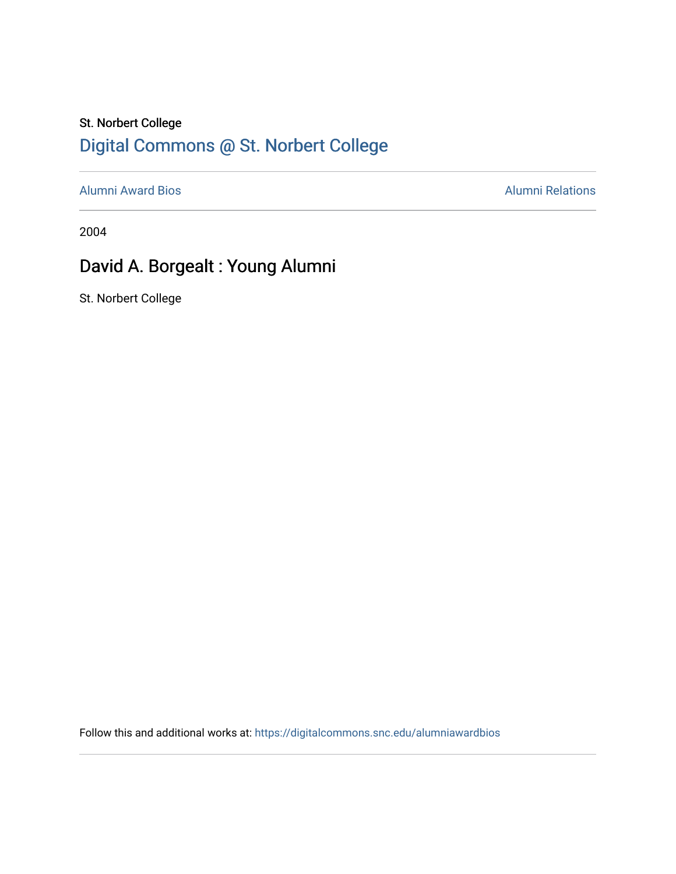## St. Norbert College [Digital Commons @ St. Norbert College](https://digitalcommons.snc.edu/)

[Alumni Award Bios](https://digitalcommons.snc.edu/alumniawardbios) **Alumni Relations** Alumni Relations

2004

## David A. Borgealt : Young Alumni

St. Norbert College

Follow this and additional works at: [https://digitalcommons.snc.edu/alumniawardbios](https://digitalcommons.snc.edu/alumniawardbios?utm_source=digitalcommons.snc.edu%2Falumniawardbios%2F5&utm_medium=PDF&utm_campaign=PDFCoverPages)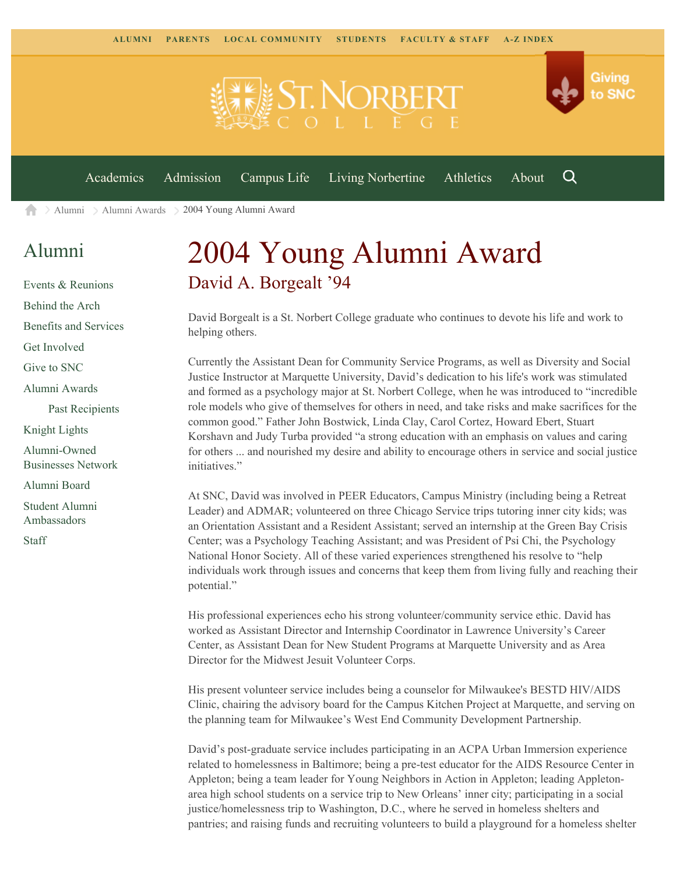

[Alumni](https://www.snc.edu/alumni/) [Alumni Awards](https://www.snc.edu/alumni/awards/) 2004 Young Alumni Award A

## [Alumni](https://www.snc.edu/alumni/index.html)

[Events & Reunions](https://www.snc.edu/alumni/event/index.html) [Behind the Arch](https://www.snc.edu/alumni/event/behindthearch/) [Benefits and Services](https://www.snc.edu/alumni/benefits.html) [Get Involved](https://www.snc.edu/alumni/getinvolved.html) [Give to SNC](http://giving.snc.edu/) [Alumni Awards](https://www.snc.edu/alumni/awards/index.html) [Past Recipients](https://www.snc.edu/alumni/awards/recipients.html) [Knight Lights](https://www.snc.edu/alumni/knightlights/index.html) [Alumni-Owned](https://www.snc.edu/alumni/directory/index.html) [Businesses Network](https://www.snc.edu/alumni/directory/index.html) [Alumni Board](https://www.snc.edu/alumni/alumniboard.html) [Student Alumni](https://www.snc.edu/alumni/saa.html) [Ambassadors](https://www.snc.edu/alumni/saa.html)

[Staff](https://www.snc.edu/alumni/contactus.html)

## 2004 Young Alumni Award David A. Borgealt '94

David Borgealt is a St. Norbert College graduate who continues to devote his life and work to helping others.

Currently the Assistant Dean for Community Service Programs, as well as Diversity and Social Justice Instructor at Marquette University, David's dedication to his life's work was stimulated and formed as a psychology major at St. Norbert College, when he was introduced to "incredible role models who give of themselves for others in need, and take risks and make sacrifices for the common good." Father John Bostwick, Linda Clay, Carol Cortez, Howard Ebert, Stuart Korshavn and Judy Turba provided "a strong education with an emphasis on values and caring for others ... and nourished my desire and ability to encourage others in service and social justice initiatives."

At SNC, David was involved in PEER Educators, Campus Ministry (including being a Retreat Leader) and ADMAR; volunteered on three Chicago Service trips tutoring inner city kids; was an Orientation Assistant and a Resident Assistant; served an internship at the Green Bay Crisis Center; was a Psychology Teaching Assistant; and was President of Psi Chi, the Psychology National Honor Society. All of these varied experiences strengthened his resolve to "help individuals work through issues and concerns that keep them from living fully and reaching their potential."

His professional experiences echo his strong volunteer/community service ethic. David has worked as Assistant Director and Internship Coordinator in Lawrence University's Career Center, as Assistant Dean for New Student Programs at Marquette University and as Area Director for the Midwest Jesuit Volunteer Corps.

His present volunteer service includes being a counselor for Milwaukee's BESTD HIV/AIDS Clinic, chairing the advisory board for the Campus Kitchen Project at Marquette, and serving on the planning team for Milwaukee's West End Community Development Partnership.

David's post-graduate service includes participating in an ACPA Urban Immersion experience related to homelessness in Baltimore; being a pre-test educator for the AIDS Resource Center in Appleton; being a team leader for Young Neighbors in Action in Appleton; leading Appletonarea high school students on a service trip to New Orleans' inner city; participating in a social justice/homelessness trip to Washington, D.C., where he served in homeless shelters and pantries; and raising funds and recruiting volunteers to build a playground for a homeless shelter